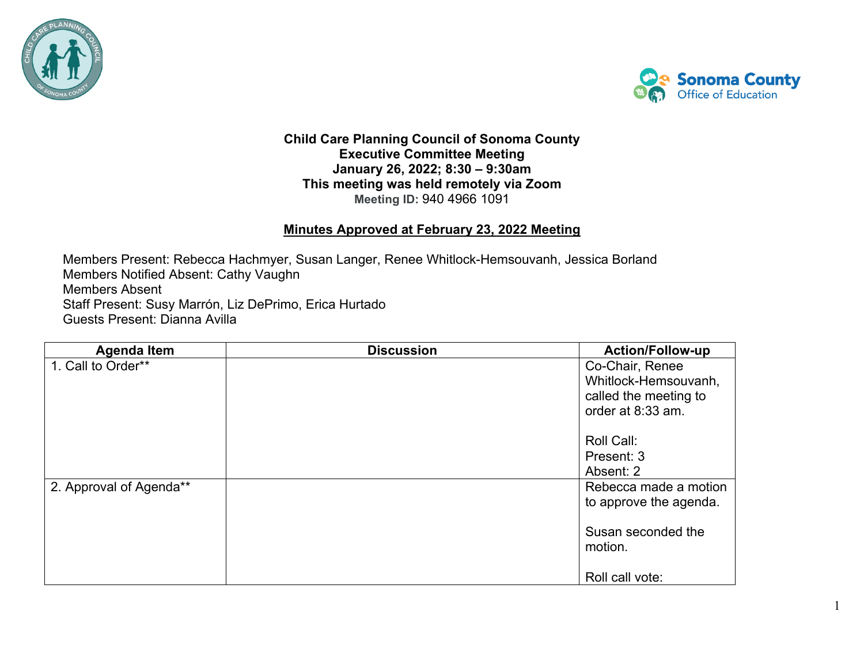



1

## **Child Care Planning Council of Sonoma County Executive Committee Meeting January 26, 2022; 8:30 – 9:30am This meeting was held remotely via Zoom Meeting ID:** 940 4966 1091

## **Minutes Approved at February 23, 2022 Meeting**

**Members Absent** Members Present: Rebecca Hachmyer, Susan Langer, Renee Whitlock-Hemsouvanh, Jessica Borland Members Notified Absent: Cathy Vaughn Staff Present: Susy Marrón, Liz DePrimo, Erica Hurtado Guests Present: Dianna Avilla

| <b>Agenda Item</b>      | <b>Discussion</b> | <b>Action/Follow-up</b>       |
|-------------------------|-------------------|-------------------------------|
| 1. Call to Order**      |                   | Co-Chair, Renee               |
|                         |                   | Whitlock-Hemsouvanh,          |
|                         |                   | called the meeting to         |
|                         |                   | order at 8:33 am.             |
|                         |                   | Roll Call:                    |
|                         |                   | Present: 3                    |
|                         |                   | Absent: 2                     |
| 2. Approval of Agenda** |                   | Rebecca made a motion         |
|                         |                   | to approve the agenda.        |
|                         |                   | Susan seconded the<br>motion. |
|                         |                   | Roll call vote:               |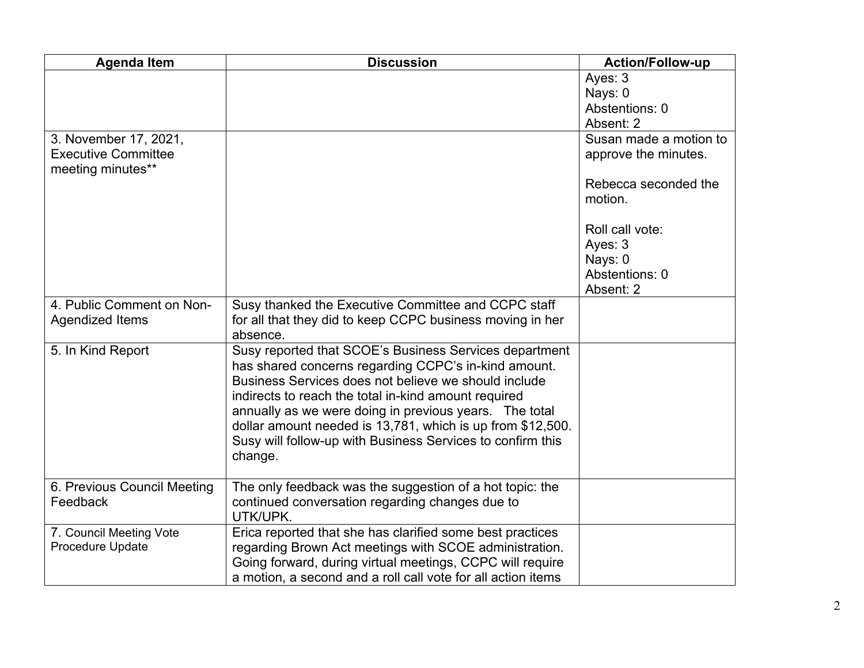| <b>Agenda Item</b>                      | <b>Discussion</b>                                            | <b>Action/Follow-up</b> |
|-----------------------------------------|--------------------------------------------------------------|-------------------------|
|                                         |                                                              | Ayes: 3                 |
|                                         |                                                              | Nays: 0                 |
|                                         |                                                              | Abstentions: 0          |
|                                         |                                                              | Absent: 2               |
| 3. November 17, 2021,                   |                                                              | Susan made a motion to  |
| <b>Executive Committee</b>              |                                                              | approve the minutes.    |
| meeting minutes**                       |                                                              |                         |
|                                         |                                                              | Rebecca seconded the    |
|                                         |                                                              | motion.                 |
|                                         |                                                              |                         |
|                                         |                                                              | Roll call vote:         |
|                                         |                                                              | Ayes: 3                 |
|                                         |                                                              | Nays: 0                 |
|                                         |                                                              | Abstentions: 0          |
|                                         |                                                              | Absent: 2               |
| 4. Public Comment on Non-               | Susy thanked the Executive Committee and CCPC staff          |                         |
| Agendized Items                         | for all that they did to keep CCPC business moving in her    |                         |
|                                         | absence.                                                     |                         |
| 5. In Kind Report                       | Susy reported that SCOE's Business Services department       |                         |
|                                         | has shared concerns regarding CCPC's in-kind amount.         |                         |
|                                         | Business Services does not believe we should include         |                         |
|                                         | indirects to reach the total in-kind amount required         |                         |
|                                         | annually as we were doing in previous years. The total       |                         |
|                                         | dollar amount needed is 13,781, which is up from \$12,500.   |                         |
|                                         | Susy will follow-up with Business Services to confirm this   |                         |
|                                         | change.                                                      |                         |
|                                         |                                                              |                         |
| 6. Previous Council Meeting<br>Feedback | The only feedback was the suggestion of a hot topic: the     |                         |
|                                         | continued conversation regarding changes due to<br>UTK/UPK.  |                         |
| 7. Council Meeting Vote                 | Erica reported that she has clarified some best practices    |                         |
| Procedure Update                        | regarding Brown Act meetings with SCOE administration.       |                         |
|                                         | Going forward, during virtual meetings, CCPC will require    |                         |
|                                         | a motion, a second and a roll call vote for all action items |                         |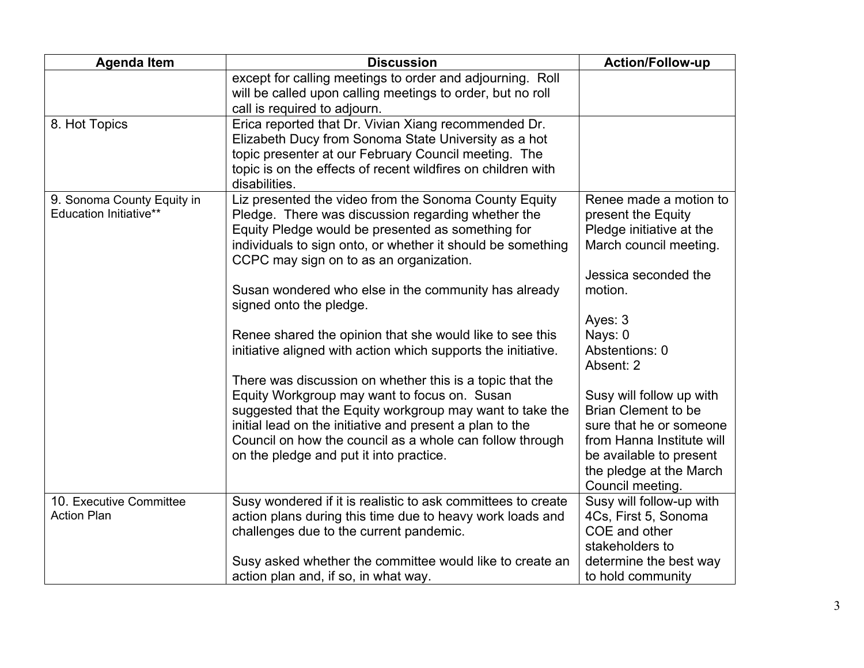| <b>Agenda Item</b>            | <b>Discussion</b>                                                                                                                                       | <b>Action/Follow-up</b>    |
|-------------------------------|---------------------------------------------------------------------------------------------------------------------------------------------------------|----------------------------|
|                               | except for calling meetings to order and adjourning. Roll<br>will be called upon calling meetings to order, but no roll<br>call is required to adjourn. |                            |
| 8. Hot Topics                 |                                                                                                                                                         |                            |
|                               | Erica reported that Dr. Vivian Xiang recommended Dr.<br>Elizabeth Ducy from Sonoma State University as a hot                                            |                            |
|                               | topic presenter at our February Council meeting. The                                                                                                    |                            |
|                               | topic is on the effects of recent wildfires on children with                                                                                            |                            |
|                               | disabilities.                                                                                                                                           |                            |
| 9. Sonoma County Equity in    | Liz presented the video from the Sonoma County Equity                                                                                                   | Renee made a motion to     |
| <b>Education Initiative**</b> | Pledge. There was discussion regarding whether the                                                                                                      | present the Equity         |
|                               | Equity Pledge would be presented as something for                                                                                                       | Pledge initiative at the   |
|                               | individuals to sign onto, or whether it should be something<br>CCPC may sign on to as an organization.                                                  | March council meeting.     |
|                               |                                                                                                                                                         | Jessica seconded the       |
|                               | Susan wondered who else in the community has already                                                                                                    | motion.                    |
|                               | signed onto the pledge.                                                                                                                                 |                            |
|                               |                                                                                                                                                         | Ayes: 3                    |
|                               | Renee shared the opinion that she would like to see this                                                                                                | Nays: 0                    |
|                               | initiative aligned with action which supports the initiative.                                                                                           | Abstentions: 0             |
|                               |                                                                                                                                                         | Absent: 2                  |
|                               | There was discussion on whether this is a topic that the                                                                                                |                            |
|                               | Equity Workgroup may want to focus on. Susan                                                                                                            | Susy will follow up with   |
|                               | suggested that the Equity workgroup may want to take the                                                                                                | <b>Brian Clement to be</b> |
|                               | initial lead on the initiative and present a plan to the                                                                                                | sure that he or someone    |
|                               | Council on how the council as a whole can follow through                                                                                                | from Hanna Institute will  |
|                               | on the pledge and put it into practice.                                                                                                                 | be available to present    |
|                               |                                                                                                                                                         | the pledge at the March    |
|                               |                                                                                                                                                         | Council meeting.           |
| 10. Executive Committee       | Susy wondered if it is realistic to ask committees to create                                                                                            | Susy will follow-up with   |
| <b>Action Plan</b>            | action plans during this time due to heavy work loads and                                                                                               | 4Cs, First 5, Sonoma       |
|                               | challenges due to the current pandemic.                                                                                                                 | COE and other              |
|                               |                                                                                                                                                         | stakeholders to            |
|                               | Susy asked whether the committee would like to create an                                                                                                | determine the best way     |
|                               | action plan and, if so, in what way.                                                                                                                    | to hold community          |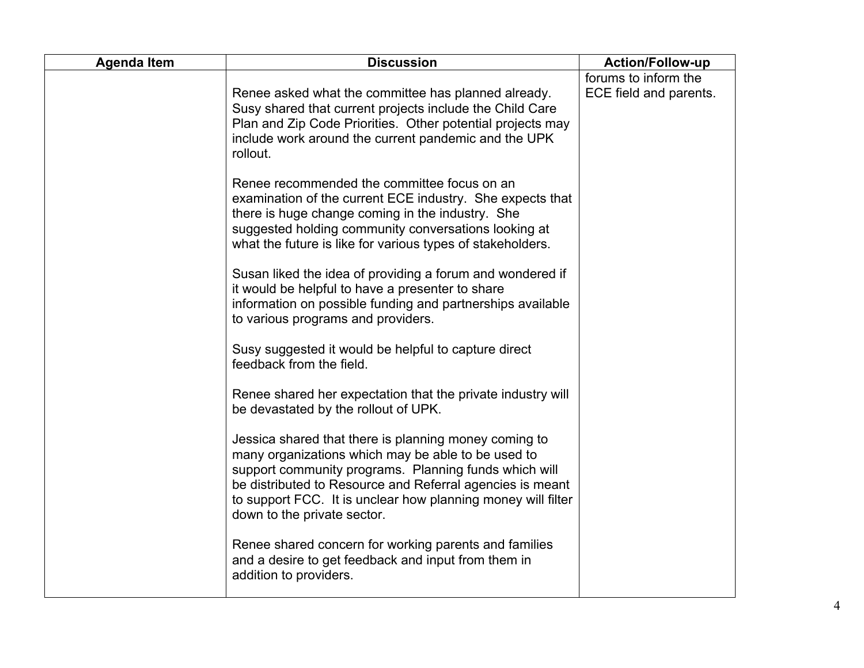| <b>Agenda Item</b> | <b>Discussion</b>                                                                                                                                                                                                                                                                                                                | <b>Action/Follow-up</b>                        |
|--------------------|----------------------------------------------------------------------------------------------------------------------------------------------------------------------------------------------------------------------------------------------------------------------------------------------------------------------------------|------------------------------------------------|
|                    | Renee asked what the committee has planned already.<br>Susy shared that current projects include the Child Care<br>Plan and Zip Code Priorities. Other potential projects may<br>include work around the current pandemic and the UPK<br>rollout.                                                                                | forums to inform the<br>ECE field and parents. |
|                    | Renee recommended the committee focus on an<br>examination of the current ECE industry. She expects that<br>there is huge change coming in the industry. She<br>suggested holding community conversations looking at<br>what the future is like for various types of stakeholders.                                               |                                                |
|                    | Susan liked the idea of providing a forum and wondered if<br>it would be helpful to have a presenter to share<br>information on possible funding and partnerships available<br>to various programs and providers.                                                                                                                |                                                |
|                    | Susy suggested it would be helpful to capture direct<br>feedback from the field.                                                                                                                                                                                                                                                 |                                                |
|                    | Renee shared her expectation that the private industry will<br>be devastated by the rollout of UPK.                                                                                                                                                                                                                              |                                                |
|                    | Jessica shared that there is planning money coming to<br>many organizations which may be able to be used to<br>support community programs. Planning funds which will<br>be distributed to Resource and Referral agencies is meant<br>to support FCC. It is unclear how planning money will filter<br>down to the private sector. |                                                |
|                    | Renee shared concern for working parents and families<br>and a desire to get feedback and input from them in<br>addition to providers.                                                                                                                                                                                           |                                                |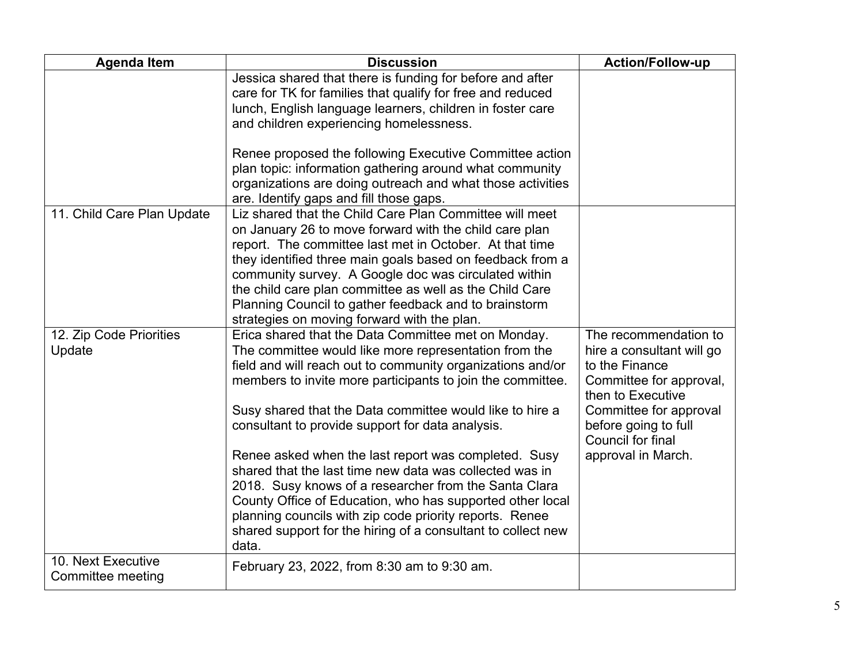| <b>Agenda Item</b>                      | <b>Discussion</b>                                                                                                                                                                                                                                                                                                                                                                                                                                                    | <b>Action/Follow-up</b>                                                                                              |
|-----------------------------------------|----------------------------------------------------------------------------------------------------------------------------------------------------------------------------------------------------------------------------------------------------------------------------------------------------------------------------------------------------------------------------------------------------------------------------------------------------------------------|----------------------------------------------------------------------------------------------------------------------|
|                                         | Jessica shared that there is funding for before and after<br>care for TK for families that qualify for free and reduced<br>lunch, English language learners, children in foster care<br>and children experiencing homelessness.                                                                                                                                                                                                                                      |                                                                                                                      |
|                                         | Renee proposed the following Executive Committee action<br>plan topic: information gathering around what community<br>organizations are doing outreach and what those activities<br>are. Identify gaps and fill those gaps.                                                                                                                                                                                                                                          |                                                                                                                      |
| 11. Child Care Plan Update              | Liz shared that the Child Care Plan Committee will meet<br>on January 26 to move forward with the child care plan<br>report. The committee last met in October. At that time<br>they identified three main goals based on feedback from a<br>community survey. A Google doc was circulated within<br>the child care plan committee as well as the Child Care<br>Planning Council to gather feedback and to brainstorm<br>strategies on moving forward with the plan. |                                                                                                                      |
| 12. Zip Code Priorities<br>Update       | Erica shared that the Data Committee met on Monday.<br>The committee would like more representation from the<br>field and will reach out to community organizations and/or<br>members to invite more participants to join the committee.                                                                                                                                                                                                                             | The recommendation to<br>hire a consultant will go<br>to the Finance<br>Committee for approval,<br>then to Executive |
|                                         | Susy shared that the Data committee would like to hire a<br>consultant to provide support for data analysis.                                                                                                                                                                                                                                                                                                                                                         | Committee for approval<br>before going to full<br>Council for final                                                  |
|                                         | Renee asked when the last report was completed. Susy<br>shared that the last time new data was collected was in<br>2018. Susy knows of a researcher from the Santa Clara<br>County Office of Education, who has supported other local<br>planning councils with zip code priority reports. Renee<br>shared support for the hiring of a consultant to collect new<br>data.                                                                                            | approval in March.                                                                                                   |
| 10. Next Executive<br>Committee meeting | February 23, 2022, from 8:30 am to 9:30 am.                                                                                                                                                                                                                                                                                                                                                                                                                          |                                                                                                                      |